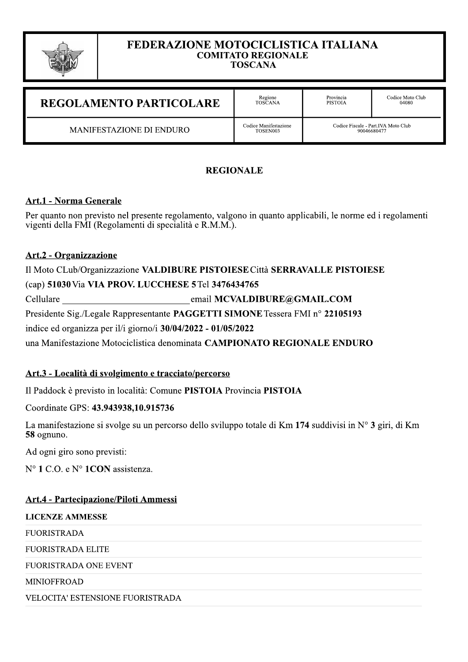

#### FEDERAZIONE MOTOCICLISTICA ITALIANA **COMITATO REGIONALE TOSCANA**

Provincia<br>PISTOIA Codice Moto Club<br>04080 Regione<br>TOSCANA **REGOLAMENTO PARTICOLARE** Codice Fiscale - Part.IVA Moto Club<br>90046680477 Codice Manifestazione MANIFESTAZIONE DI ENDURO TOSEN003

# **REGIONALE**

# **Art.1 - Norma Generale**

Per quanto non previsto nel presente regolamento, valgono in quanto applicabili, le norme ed i regolamenti vigenti della FMI (Regolamenti di specialità e R.M.M.).

# Art.2 - Organizzazione

Il Moto CLub/Organizzazione VALDIBURE PISTOIESE Città SERRAVALLE PISTOIESE (cap) 51030 Via VIA PROV. LUCCHESE 5 Tel 3476434765 email MCVALDIBURE@GMAIL.COM Cellulare Presidente Sig./Legale Rappresentante PAGGETTI SIMONE Tessera FMI nº 22105193 indice ed organizza per il/i giorno/i  $30/04/2022 - 01/05/2022$ una Manifestazione Motociclistica denominata CAMPIONATO REGIONALE ENDURO

# Art.3 - Località di svolgimento e tracciato/percorso

Il Paddock è previsto in località: Comune PISTOIA Provincia PISTOIA

Coordinate GPS: 43.943938,10.915736

La manifestazione si svolge su un percorso dello sviluppo totale di Km 174 suddivisi in N° 3 giri, di Km 58 ognuno.

Ad ogni giro sono previsti:

N° 1 C.O. e N° 1 CON assistenza.

# **Art.4 - Partecipazione/Piloti Ammessi**

**LICENZE AMMESSE** 

**FUORISTRADA** 

**FUORISTRADA ELITE** 

FUORISTRADA ONE EVENT

**MINIOFFROAD** 

VELOCITA' ESTENSIONE FUORISTRADA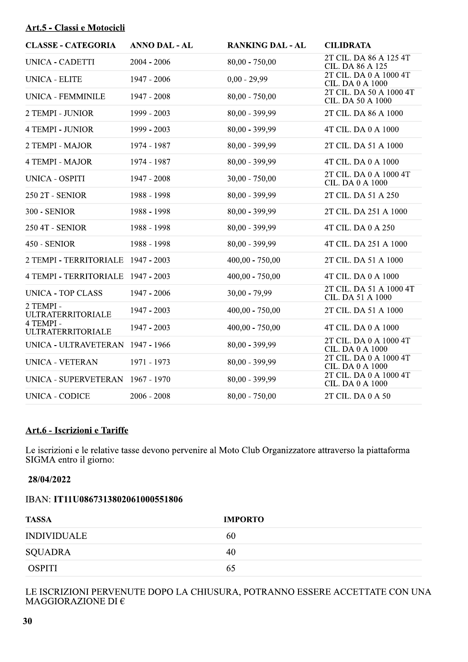# Art.5 - Classi e Motocicli

| <b>CLASSE - CATEGORIA</b>             | <b>ANNO DAL - AL</b> | <b>RANKING DAL - AL</b> | <b>CILIDRATA</b>                                  |
|---------------------------------------|----------------------|-------------------------|---------------------------------------------------|
| UNICA - CADETTI                       | $2004 - 2006$        | $80,00 - 750,00$        | 2T CIL. DA 86 A 125 4T<br>CIL. DA 86 A 125        |
| <b>UNICA - ELITE</b>                  | 1947 - 2006          | $0.00 - 29.99$          | 2T CIL. DA 0 A 1000 4T<br>CIL. DA 0 A 1000        |
| <b>UNICA - FEMMINILE</b>              | 1947 - 2008          | $80,00 - 750,00$        | 2T CIL. DA 50 A 1000 4T<br>CIL. DA 50 A 1000      |
| 2 TEMPI - JUNIOR                      | 1999 - 2003          | 80,00 - 399,99          | 2T CIL. DA 86 A 1000                              |
| <b>4 TEMPI - JUNIOR</b>               | 1999 - 2003          | 80,00 - 399,99          | 4T CIL. DA 0 A 1000                               |
| 2 TEMPI - MAJOR                       | 1974 - 1987          | 80,00 - 399,99          | 2T CIL. DA 51 A 1000                              |
| <b>4 TEMPI - MAJOR</b>                | 1974 - 1987          | 80,00 - 399,99          | 4T CIL. DA 0 A 1000                               |
| <b>UNICA - OSPITI</b>                 | 1947 - 2008          | $30,00 - 750,00$        | 2T CIL. DA 0 A 1000 4T<br>CIL. DA 0 A 1000        |
| 250 2T - SENIOR                       | 1988 - 1998          | 80,00 - 399,99          | 2T CIL. DA 51 A 250                               |
| 300 - SENIOR                          | 1988 - 1998          | 80,00 - 399,99          | 2T CIL. DA 251 A 1000                             |
| 250 4T - SENIOR                       | 1988 - 1998          | 80,00 - 399,99          | 4T CIL. DA 0 A 250                                |
| 450 - SENIOR                          | 1988 - 1998          | $80,00 - 399,99$        | 4T CIL. DA 251 A 1000                             |
| 2 TEMPI - TERRITORIALE                | 1947 - 2003          | $400,00 - 750,00$       | 2T CIL. DA 51 A 1000                              |
| <b>4 TEMPI - TERRITORIALE</b>         | 1947 - 2003          | $400,00 - 750,00$       | 4T CIL. DA 0 A 1000                               |
| <b>UNICA - TOP CLASS</b>              | 1947 - 2006          | $30,00 - 79,99$         | 2T CIL. DA 51 A 1000 4T<br>CIL. DA 51 A 1000      |
| 2 TEMPI -<br><b>ULTRATERRITORIALE</b> | 1947 - 2003          | $400,00 - 750,00$       | 2T CIL. DA 51 A 1000                              |
| 4 TEMPI -<br><b>ULTRATERRITORIALE</b> | 1947 - 2003          | $400,00 - 750,00$       | 4T CIL. DA 0 A 1000                               |
| UNICA - ULTRAVETERAN                  | 1947 - 1966          | 80,00 - 399,99          | 2T CIL. DA 0 A 1000 4T<br>CIL. DA 0 A 1000        |
| <b>UNICA - VETERAN</b>                | 1971 - 1973          | $80,00 - 399,99$        | 2T CIL. DA 0 A 1000 4T<br><b>CIL. DA 0 A 1000</b> |
| UNICA - SUPERVETERAN 1967 - 1970      |                      | 80,00 - 399,99          | 2T CIL. DA 0 A 1000 4T<br><b>CIL. DA 0 A 1000</b> |
| <b>UNICA - CODICE</b>                 | $2006 - 2008$        | $80,00 - 750,00$        | 2T CIL. DA 0 A 50                                 |

# Art.6 - Iscrizioni e Tariffe

Le iscrizioni e le relative tasse devono pervenire al Moto Club Organizzatore attraverso la piattaforma SIGMA entro il giorno:

#### 28/04/2022

#### IBAN: IT11U0867313802061000551806

| <b>TASSA</b>       | <b>IMPORTO</b> |
|--------------------|----------------|
| <b>INDIVIDUALE</b> | 60             |
| SQUADRA            | 40             |
| <b>OSPITI</b>      | 65             |

# LE ISCRIZIONI PERVENUTE DOPO LA CHIUSURA, POTRANNO ESSERE ACCETTATE CON UNA MAGGIORAZIONE DI $\in$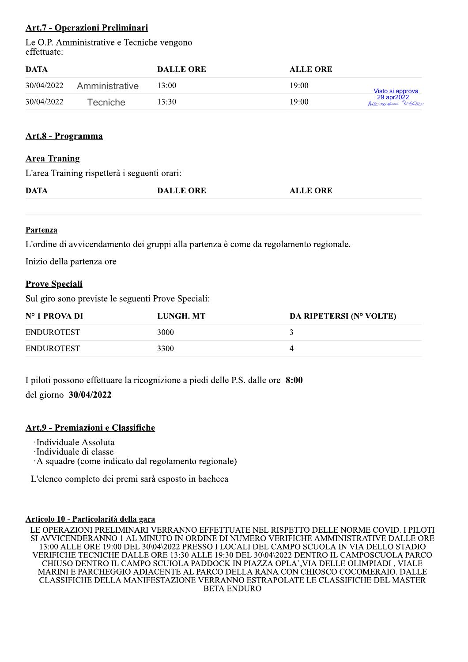# **Art.7 - Operazioni Preliminari**

Le O.P. Amministrative e Tecniche vengono effettuate:

| DATA       |                | <b>DALLE ORE</b> | <b>ALLE ORE</b> |                                                   |  |
|------------|----------------|------------------|-----------------|---------------------------------------------------|--|
| 30/04/2022 | Amministrative | 13:00            | 19:00           |                                                   |  |
| 30/04/2022 | $T$ ecniche    | 13:30            | 19:00           | Visto si approva<br>29 apr2022<br>Alesondes Reser |  |

#### Art.8 - Programma

#### **Area Traning**

L'area Training rispetterà i seguenti orari:

| <b>DATA</b> | <b>DALLE ORE</b> | <b>ALLE ORE</b> |  |
|-------------|------------------|-----------------|--|
|             |                  |                 |  |

#### Partenza

L'ordine di avvicendamento dei gruppi alla partenza è come da regolamento regionale.

Inizio della partenza ore

## **Prove Speciali**

Sul giro sono previste le seguenti Prove Speciali:

| $N^{\circ}$ 1 PROVA DI | LUNGH. MT | <b>DA RIPETERSI (N° VOLTE)</b> |
|------------------------|-----------|--------------------------------|
| <b>ENDUROTEST</b>      | 3000      |                                |
| <b>ENDUROTEST</b>      | 3300      |                                |

I piloti possono effettuare la ricognizione a piedi delle P.S. dalle ore 8:00

del giorno 30/04/2022

## Art.9 - Premiazioni e Classifiche

·Individuale Assoluta

·Individuale di classe

A squadre (come indicato dal regolamento regionale)

L'elenco completo dei premi sarà esposto in bacheca

#### Articolo 10 - Particolarità della gara

LE OPERAZIONI PRELIMINARI VERRANNO EFFETTUATE NEL RISPETTO DELLE NORME COVID. I PILOTI SI AVVICENDERANNO 1 AL MINUTO IN ORDINE DI NUMERO VERIFICHE AMMINISTRATIVE DALLE ORE 13:00 ALLE ORE 19:00 DEL 30\04\2022 PRESSO I LOCALI DEL CAMPO SCUOLA IN VIA DELLO STADIO VERIFICHE TECNICHE DALLE ORE 13:30 ALLE 19:30 DEL 30\04\2022 DENTRO IL CAMPOSCUOLA PARCO CHIUSO DENTRO IL CAMPO SCUIOLA PADDOCK IN PIAZZA OPLA`, VIA DELLE OLIMPIADI, VIALE MARINI E PARCHEGGIO ADIACENTE AL PARCO DELLA RANA CON CHIOSCO COCOMERAIO. DALLE CLASSIFICHE DELLA MANIFESTAZIONE VERRANNO ESTRAPOLATE LE CLASSIFICHE DEL MASTER **BETA ENDURO**